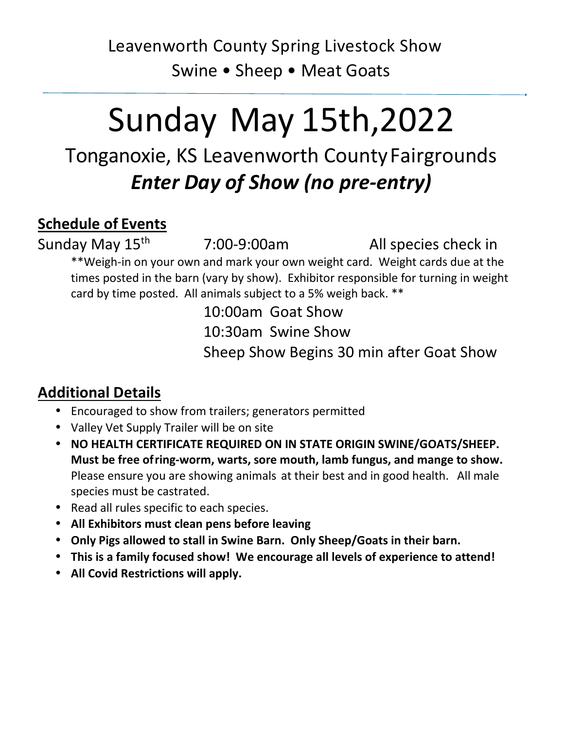# Leavenworth County Spring Livestock Show Swine • Sheep • Meat Goats

# Sunday May 15th,2022

# Tonganoxie, KS Leavenworth County Fairgrounds *Enter Day of Show (no pre-entry)*

### **Schedule of Events**

Sunday May 15<sup>th</sup> 7:00-9:00am All species check in

\*\*Weigh-in on your own and mark your own weight card. Weight cards due at the times posted in the barn (vary by show). Exhibitor responsible for turning in weight card by time posted. All animals subject to a 5% weigh back. \*\*

> 10:00am Goat Show 10:30am Swine Show Sheep Show Begins 30 min after Goat Show

## **Additional Details**

- Encouraged to show from trailers; generators permitted
- Valley Vet Supply Trailer will be on site
- **NO HEALTH CERTIFICATE REQUIRED ON IN STATE ORIGIN SWINE/GOATS/SHEEP. Must be free of ring-worm, warts, sore mouth, lamb fungus, and mange to show.**  Please ensure you are showing animals at their best and in good health. All male species must be castrated.
- Read all rules specific to each species.
- **All Exhibitors must clean pens before leaving**
- **Only Pigs allowed to stall in Swine Barn. Only Sheep/Goats in their barn.**
- **This is a family focused show! We encourage all levels of experience to attend!**
- **All Covid Restrictions will apply.**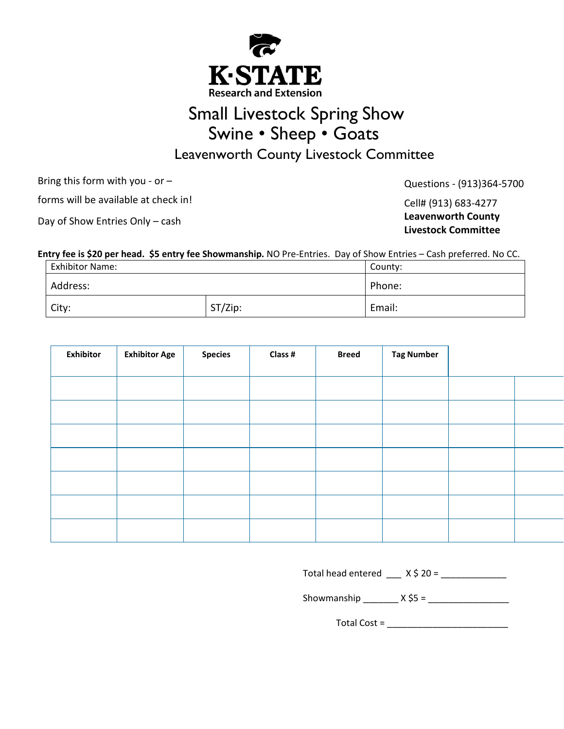

# Small Livestock Spring Show Swine • Sheep • Goats

Leavenworth County Livestock Committee

Bring this form with you - or –

forms will be available at check in!

Questions - (913)364-5700

Cell# (913) 683-4277 **Leavenworth County Livestock Committee**

Day of Show Entries Only – cash

#### **Entry fee is \$20 per head. \$5 entry fee Showmanship.** NO Pre-Entries. Day of Show Entries – Cash preferred. No CC.

| <b>Exhibitor Name:</b> |         |        |  |
|------------------------|---------|--------|--|
| Address:               |         | Phone: |  |
| City:                  | ST/Zip: | Email: |  |

| <b>Exhibitor</b> | <b>Exhibitor Age</b> | <b>Species</b> | Class # | <b>Breed</b> | <b>Tag Number</b> |  |
|------------------|----------------------|----------------|---------|--------------|-------------------|--|
|                  |                      |                |         |              |                   |  |
|                  |                      |                |         |              |                   |  |
|                  |                      |                |         |              |                   |  |
|                  |                      |                |         |              |                   |  |
|                  |                      |                |         |              |                   |  |
|                  |                      |                |         |              |                   |  |
|                  |                      |                |         |              |                   |  |

Total head entered \_\_\_ X \$ 20 = \_\_\_\_\_\_\_\_\_\_\_\_\_

Showmanship  $X$  \$5 =

Total Cost =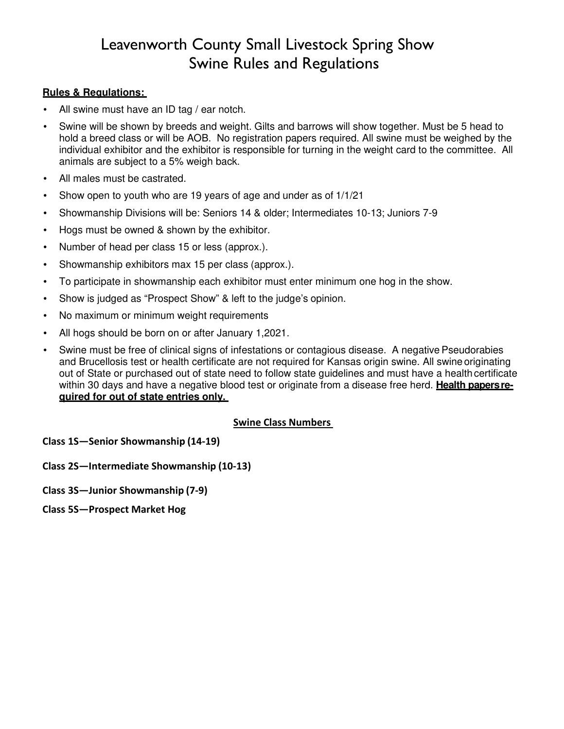### Leavenworth County Small Livestock Spring Show Swine Rules and Regulations

#### **Rules & Regulations:**

- All swine must have an ID tag / ear notch.
- Swine will be shown by breeds and weight. Gilts and barrows will show together. Must be 5 head to hold a breed class or will be AOB. No registration papers required. All swine must be weighed by the individual exhibitor and the exhibitor is responsible for turning in the weight card to the committee. All animals are subject to a 5% weigh back.
- All males must be castrated.
- Show open to youth who are 19 years of age and under as of 1/1/21
- Showmanship Divisions will be: Seniors 14 & older; Intermediates 10-13; Juniors 7-9
- Hogs must be owned & shown by the exhibitor.
- Number of head per class 15 or less (approx.).
- Showmanship exhibitors max 15 per class (approx.).
- To participate in showmanship each exhibitor must enter minimum one hog in the show.
- Show is judged as "Prospect Show" & left to the judge's opinion.
- No maximum or minimum weight requirements
- All hogs should be born on or after January 1,2021.
- Swine must be free of clinical signs of infestations or contagious disease. A negative Pseudorabies and Brucellosis test or health certificate are not required for Kansas origin swine. All swine originating out of State or purchased out of state need to follow state guidelines and must have a health certificate within 30 days and have a negative blood test or originate from a disease free herd. **Health papers reguired for out of state entries only.**

#### **Swine Class Numbers**

**Class 1S—Senior Showmanship (14-19)** 

**Class 2S—Intermediate Showmanship (10-13)** 

**Class 3S—Junior Showmanship (7-9)** 

**Class 5S—Prospect Market Hog**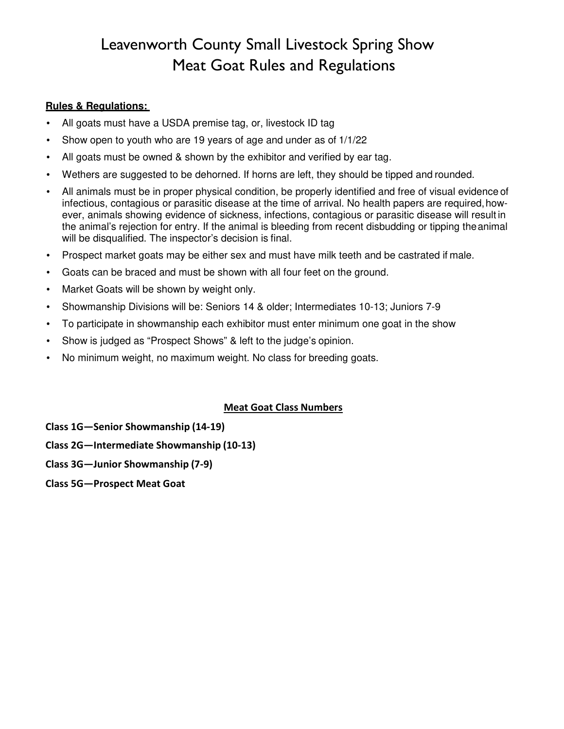### Leavenworth County Small Livestock Spring Show Meat Goat Rules and Regulations

#### **Rules & Regulations:**

- All goats must have a USDA premise tag, or, livestock ID tag
- Show open to youth who are 19 years of age and under as of 1/1/22
- All goats must be owned & shown by the exhibitor and verified by ear tag.
- Wethers are suggested to be dehorned. If horns are left, they should be tipped and rounded.
- All animals must be in proper physical condition, be properly identified and free of visual evidence of infectious, contagious or parasitic disease at the time of arrival. No health papers are required, however, animals showing evidence of sickness, infections, contagious or parasitic disease will result in the animal's rejection for entry. If the animal is bleeding from recent disbudding or tipping the animal will be disqualified. The inspector's decision is final.
- Prospect market goats may be either sex and must have milk teeth and be castrated if male.
- Goats can be braced and must be shown with all four feet on the ground.
- Market Goats will be shown by weight only.
- Showmanship Divisions will be: Seniors 14 & older; Intermediates 10-13; Juniors 7-9
- To participate in showmanship each exhibitor must enter minimum one goat in the show
- Show is judged as "Prospect Shows" & left to the judge's opinion.
- No minimum weight, no maximum weight. No class for breeding goats.

#### **Meat Goat Class Numbers**

**Class 1G—Senior Showmanship (14-19)**

**Class 2G—Intermediate Showmanship (10-13)** 

**Class 3G—Junior Showmanship (7-9)**

**Class 5G—Prospect Meat Goat**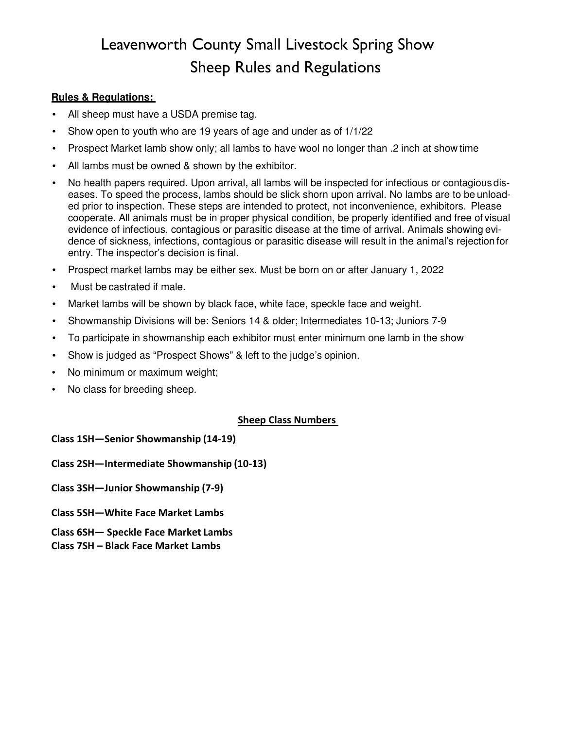# Leavenworth County Small Livestock Spring Show Sheep Rules and Regulations

#### **Rules & Regulations:**

- All sheep must have a USDA premise tag.
- Show open to youth who are 19 years of age and under as of 1/1/22
- Prospect Market lamb show only; all lambs to have wool no longer than .2 inch at show time
- All lambs must be owned & shown by the exhibitor.
- No health papers required. Upon arrival, all lambs will be inspected for infectious or contagious diseases. To speed the process, lambs should be slick shorn upon arrival. No lambs are to be unloaded prior to inspection. These steps are intended to protect, not inconvenience, exhibitors. Please cooperate. All animals must be in proper physical condition, be properly identified and free of visual evidence of infectious, contagious or parasitic disease at the time of arrival. Animals showing evidence of sickness, infections, contagious or parasitic disease will result in the animal's rejection for entry. The inspector's decision is final.
- Prospect market lambs may be either sex. Must be born on or after January 1, 2022
- Must be castrated if male.
- Market lambs will be shown by black face, white face, speckle face and weight.
- Showmanship Divisions will be: Seniors 14 & older; Intermediates 10-13; Juniors 7-9
- To participate in showmanship each exhibitor must enter minimum one lamb in the show
- Show is judged as "Prospect Shows" & left to the judge's opinion.
- No minimum or maximum weight;
- No class for breeding sheep.

#### **Sheep Class Numbers**

**Class 1SH—Senior Showmanship (14-19)** 

**Class 2SH—Intermediate Showmanship (10-13)** 

**Class 3SH—Junior Showmanship (7-9)** 

- **Class 5SH—White Face Market Lambs**
- **Class 6SH— Speckle Face Market Lambs**
- **Class 7SH Black Face Market Lambs**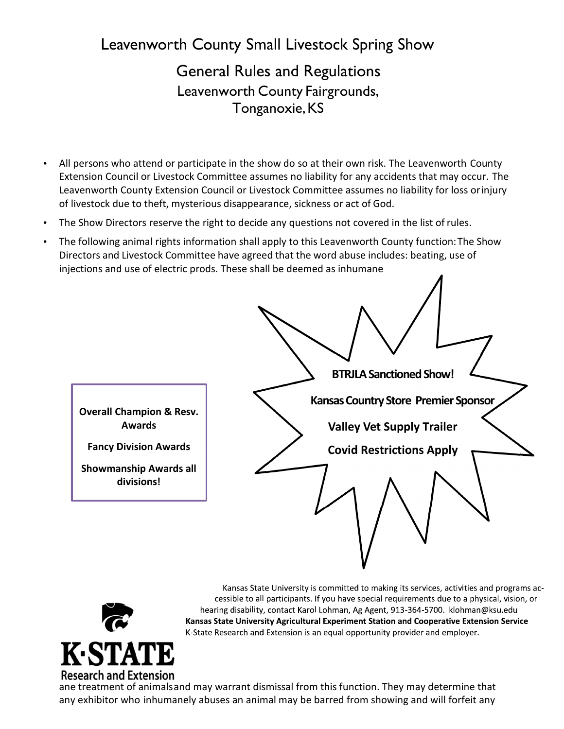Leavenworth County Small Livestock Spring Show

General Rules and Regulations Leavenworth County Fairgrounds, Tonganoxie, KS

- All persons who attend or participate in the show do so at their own risk. The Leavenworth County Extension Council or Livestock Committee assumes no liability for any accidents that may occur. The Leavenworth County Extension Council or Livestock Committee assumes no liability for loss or injury of livestock due to theft, mysterious disappearance, sickness or act of God.
- The Show Directors reserve the right to decide any questions not covered in the list of rules.
- The following animal rights information shall apply to this Leavenworth County function: The Show Directors and Livestock Committee have agreed that the word abuse includes: beating, use of injections and use of electric prods. These shall be deemed as inhumane





Kansas State University is committed to making its services, activities and programs accessible to all participants. If you have special requirements due to a physical, vision, or hearing disability, contact Karol Lohman, Ag Agent, 913-364-5700. klohman@ksu.edu Kansas State University Agricultural Experiment Station and Cooperative Extension Service K-State Research and Extension is an equal opportunity provider and employer.

ane treatment of animals and may warrant dismissal from this function. They may determine that any exhibitor who inhumanely abuses an animal may be barred from showing and will forfeit any